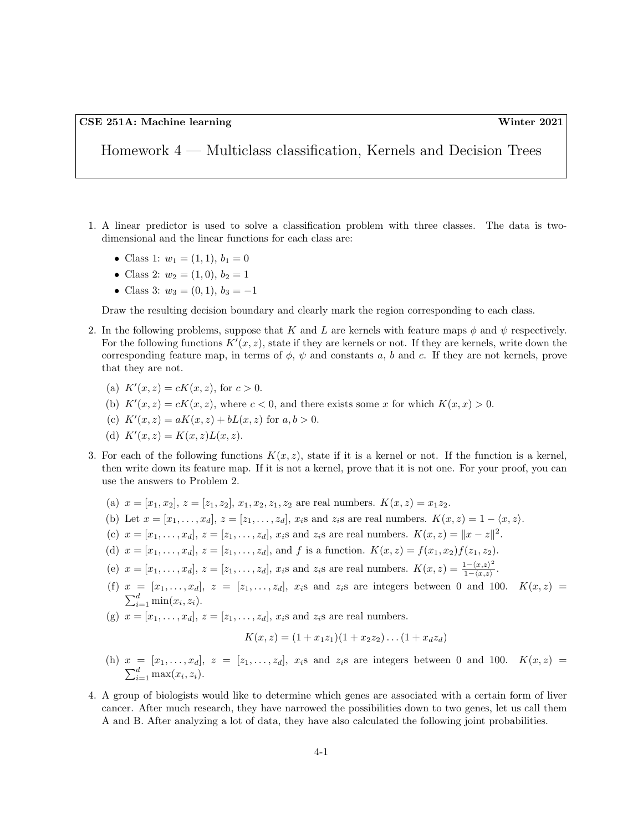Homework 4 — Multiclass classification, Kernels and Decision Trees

- 1. A linear predictor is used to solve a classification problem with three classes. The data is twodimensional and the linear functions for each class are:
	- Class 1:  $w_1 = (1, 1), b_1 = 0$
	- Class 2:  $w_2 = (1, 0), b_2 = 1$
	- Class 3:  $w_3 = (0, 1), b_3 = -1$

Draw the resulting decision boundary and clearly mark the region corresponding to each class.

- 2. In the following problems, suppose that K and L are kernels with feature maps  $\phi$  and  $\psi$  respectively. For the following functions  $K'(x, z)$ , state if they are kernels or not. If they are kernels, write down the corresponding feature map, in terms of  $\phi$ ,  $\psi$  and constants a, b and c. If they are not kernels, prove that they are not.
	- (a)  $K'(x, z) = cK(x, z)$ , for  $c > 0$ .
	- (b)  $K'(x, z) = cK(x, z)$ , where  $c < 0$ , and there exists some x for which  $K(x, x) > 0$ .
	- (c)  $K'(x, z) = aK(x, z) + bL(x, z)$  for  $a, b > 0$ .
	- (d)  $K'(x, z) = K(x, z)L(x, z).$
- 3. For each of the following functions  $K(x, z)$ , state if it is a kernel or not. If the function is a kernel, then write down its feature map. If it is not a kernel, prove that it is not one. For your proof, you can use the answers to Problem 2.
	- (a)  $x = [x_1, x_2], z = [z_1, z_2], x_1, x_2, z_1, z_2$  are real numbers.  $K(x, z) = x_1 z_2$ .
	- (b) Let  $x = [x_1, \ldots, x_d], z = [z_1, \ldots, z_d], x_i$  and  $z_i$  are real numbers.  $K(x, z) = 1 \langle x, z \rangle$ .
	- (c)  $x = [x_1, ..., x_d], z = [z_1, ..., z_d], x_i$  and  $z_i$  are real numbers.  $K(x, z) = ||x z||^2$ .
	- (d)  $x = [x_1, \ldots, x_d], z = [z_1, \ldots, z_d],$  and f is a function.  $K(x, z) = f(x_1, x_2)f(z_1, z_2)$ .
	- (e)  $x = [x_1, \ldots, x_d], z = [z_1, \ldots, z_d], x_i$  and  $z_i$  are real numbers.  $K(x, z) = \frac{1 (x, z)^2}{1 (x, z)}$  $\frac{1-\langle x,z\rangle^-}{1-\langle x,z\rangle}$ .
	- (f)  $x = [x_1, \ldots, x_d], z = [z_1, \ldots, z_d], x_i$  and  $z_i$  are integers between 0 and 100.  $K(x, z) =$  $\sum_{i=1}^d \min(x_i, z_i)$ .
	- (g)  $x = [x_1, ..., x_d], z = [z_1, ..., z_d], x_i$ s and  $z_i$ s are real numbers.

$$
K(x, z) = (1 + x_1 z_1)(1 + x_2 z_2) \dots (1 + x_d z_d)
$$

- (h)  $x = [x_1, \ldots, x_d], z = [z_1, \ldots, z_d], x_i$  and  $z_i$  are integers between 0 and 100.  $K(x, z) =$  $\sum_{i=1}^d \max(x_i, z_i)$ .
- 4. A group of biologists would like to determine which genes are associated with a certain form of liver cancer. After much research, they have narrowed the possibilities down to two genes, let us call them A and B. After analyzing a lot of data, they have also calculated the following joint probabilities.